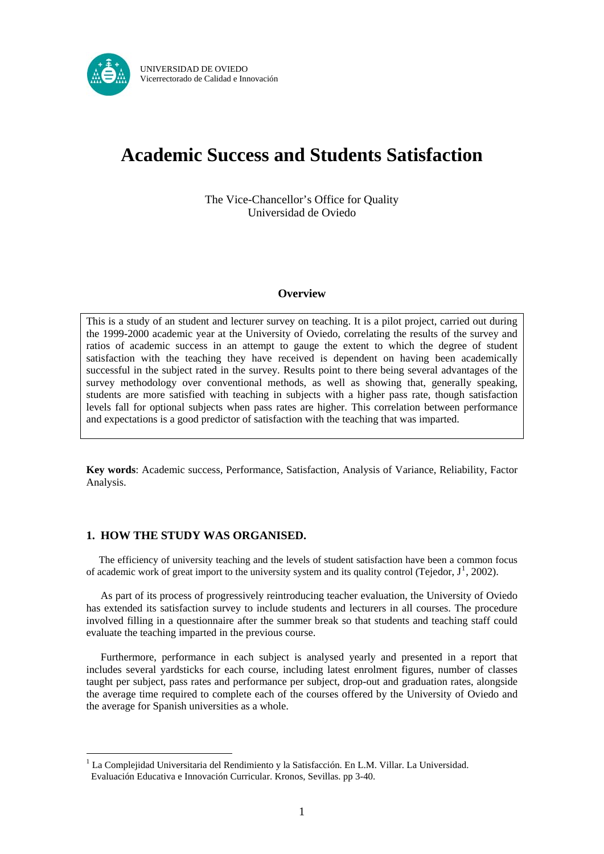

# **Academic Success and Students Satisfaction**

The Vice-Chancellor's Office for Quality Universidad de Oviedo

## **Overview**

This is a study of an student and lecturer survey on teaching. It is a pilot project, carried out during the 1999-2000 academic year at the University of Oviedo, correlating the results of the survey and ratios of academic success in an attempt to gauge the extent to which the degree of student satisfaction with the teaching they have received is dependent on having been academically successful in the subject rated in the survey. Results point to there being several advantages of the survey methodology over conventional methods, as well as showing that, generally speaking, students are more satisfied with teaching in subjects with a higher pass rate, though satisfaction levels fall for optional subjects when pass rates are higher. This correlation between performance and expectations is a good predictor of satisfaction with the teaching that was imparted.

**Key words**: Academic success, Performance, Satisfaction, Analysis of Variance, Reliability, Factor Analysis.

## **1. HOW THE STUDY WAS ORGANISED.**

1

The efficiency of university teaching and the levels of student satisfaction have been a common focus of academic work of great import to the university system and its quality control (Tejedor,  $J^1$  $J^1$ , 2002).

As part of its process of progressively reintroducing teacher evaluation, the University of Oviedo has extended its satisfaction survey to include students and lecturers in all courses. The procedure involved filling in a questionnaire after the summer break so that students and teaching staff could evaluate the teaching imparted in the previous course.

Furthermore, performance in each subject is analysed yearly and presented in a report that includes several yardsticks for each course, including latest enrolment figures, number of classes taught per subject, pass rates and performance per subject, drop-out and graduation rates, alongside the average time required to complete each of the courses offered by the University of Oviedo and the average for Spanish universities as a whole.

<span id="page-0-0"></span> $1$  La Complejidad Universitaria del Rendimiento y la Satisfacción. En L.M. Villar. La Universidad. Evaluación Educativa e Innovación Curricular. Kronos, Sevillas. pp 3-40.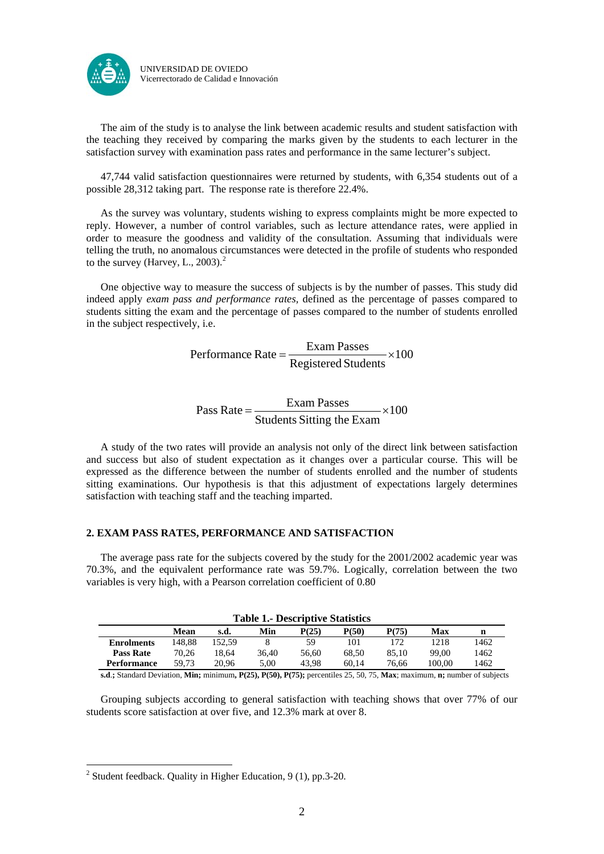

The aim of the study is to analyse the link between academic results and student satisfaction with the teaching they received by comparing the marks given by the students to each lecturer in the satisfaction survey with examination pass rates and performance in the same lecturer's subject.

47,744 valid satisfaction questionnaires were returned by students, with 6,354 students out of a possible 28,312 taking part. The response rate is therefore 22.4%.

As the survey was voluntary, students wishing to express complaints might be more expected to reply. However, a number of control variables, such as lecture attendance rates, were applied in order to measure the goodness and validity of the consultation. Assuming that individuals were telling the truth, no anomalous circumstances were detected in the profile of students who responded to the survey (Harvey, L., [2](#page-1-0)003).<sup>2</sup>

One objective way to measure the success of subjects is by the number of passes. This study did indeed apply *exam pass and performance rates,* defined as the percentage of passes compared to students sitting the exam and the percentage of passes compared to the number of students enrolled in the subject respectively, i.e.

> 100 Registered Students Performance Rate =  $\frac{Exam \text{ Passes}}{x} \times$

Pass Rate = 
$$
\frac{Example}{Students Stiting the Exam} \times 100
$$

 A study of the two rates will provide an analysis not only of the direct link between satisfaction and success but also of student expectation as it changes over a particular course. This will be expressed as the difference between the number of students enrolled and the number of students sitting examinations. Our hypothesis is that this adjustment of expectations largely determines satisfaction with teaching staff and the teaching imparted.

## **2. EXAM PASS RATES, PERFORMANCE AND SATISFACTION**

 The average pass rate for the subjects covered by the study for the 2001/2002 academic year was 70.3%, and the equivalent performance rate was 59.7%. Logically, correlation between the two variables is very high, with a Pearson correlation coefficient of 0.80

|                    |        |        |       | <b>Table 1.- Descriptive Statistics</b> |       |       |        |      |  |  |  |  |  |  |  |
|--------------------|--------|--------|-------|-----------------------------------------|-------|-------|--------|------|--|--|--|--|--|--|--|
|                    | Mean   | s.d.   | Min   | P(25)                                   | P(50) | P(75) | Max    | n    |  |  |  |  |  |  |  |
| <b>Enrolments</b>  | 148.88 | 152.59 |       | 59                                      | 101   | 172   | 1218   | 1462 |  |  |  |  |  |  |  |
| <b>Pass Rate</b>   | 70.26  | 18.64  | 36.40 | 56.60                                   | 68.50 | 85.10 | 99.00  | 1462 |  |  |  |  |  |  |  |
| <b>Performance</b> | 59.73  | 20.96  | 5.00  | 43.98                                   | 60.14 | 76.66 | 100.00 | 1462 |  |  |  |  |  |  |  |

**s.d**.**;** Standard Deviation, **Min;** minimum**, P(25), P(50), P(75);** percentiles 25, 50, 75, **Max**; maximum, **n;** number of subjects

 Grouping subjects according to general satisfaction with teaching shows that over 77% of our students score satisfaction at over five, and 12.3% mark at over 8.

1

<span id="page-1-0"></span><sup>&</sup>lt;sup>2</sup> Student feedback. Quality in Higher Education,  $9(1)$ , pp.3-20.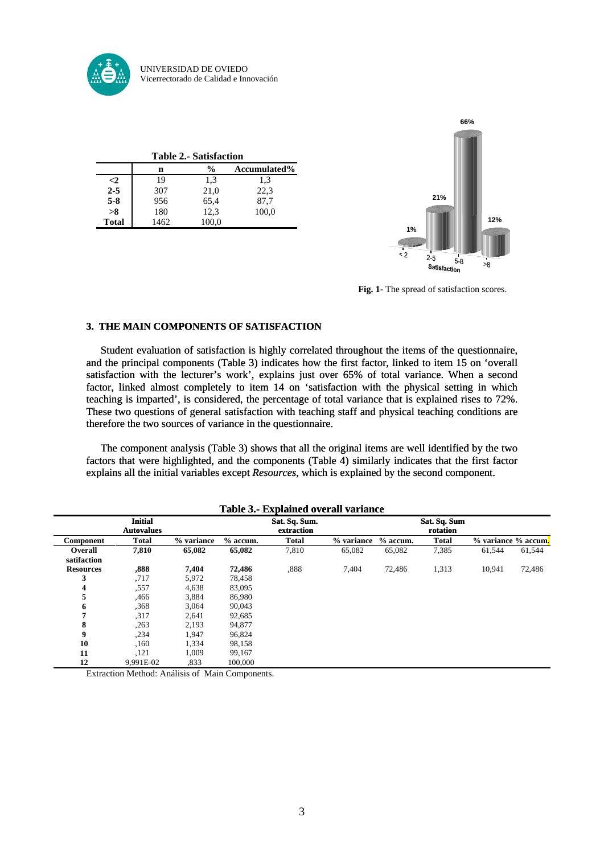

|              | <b>Table 2.- Satisfaction</b> |               |              |  |  |  |  |  |  |  |  |  |
|--------------|-------------------------------|---------------|--------------|--|--|--|--|--|--|--|--|--|
|              | n                             | $\frac{0}{0}$ | Accumulated% |  |  |  |  |  |  |  |  |  |
| $\leq$ 2     | 19                            | 1.3           | 1,3          |  |  |  |  |  |  |  |  |  |
| $2 - 5$      | 307                           | 21,0          | 22,3         |  |  |  |  |  |  |  |  |  |
| $5 - 8$      | 956                           | 65,4          | 87,7         |  |  |  |  |  |  |  |  |  |
| >8           | 180                           | 12,3          | 100,0        |  |  |  |  |  |  |  |  |  |
| <b>Total</b> | 1462                          | 100,0         |              |  |  |  |  |  |  |  |  |  |



**Fig. 1-** The spread of satisfaction scores.

## **3. THE MAIN COMPONENTS OF SATISFACTION**

 Student evaluation of satisfaction is highly correlated throughout the items of the questionnaire, and the principal components (Table 3) indicates how the first factor, linked to item 15 on 'overall satisfaction with the lecturer's work', explains just over 65% of total variance. When a second factor, linked almost completely to item 14 on 'satisfaction with the physical setting in which teaching is imparted', is considered, the percentage of total variance that is explained rises to 72%. These two questions of general satisfaction with teaching staff and physical teaching conditions are therefore the two sources of variance in the questionnaire.

 The component analysis (Table 3) shows that all the original items are well identified by the two factors that were highlighted, and the components (Table 4) similarly indicates that the first factor explains all the initial variables except *Resources*, which is explained by the second component.

|                               | <b>Initial</b><br><b>Autovalues</b> |            |            | Sat. Sq. Sum.<br>extraction |            |            | Sat. Sq. Sum<br>rotation |        |                     |
|-------------------------------|-------------------------------------|------------|------------|-----------------------------|------------|------------|--------------------------|--------|---------------------|
| Component                     | <b>Total</b>                        | % variance | $%$ accum. | <b>Total</b>                | % variance | $%$ accum. | <b>Total</b>             |        | % variance % accum. |
| <b>Overall</b><br>satifaction | 7,810                               | 65,082     | 65,082     | 7,810                       | 65,082     | 65,082     | 7,385                    | 61,544 | 61,544              |
| <b>Resources</b>              | .888                                | 7,404      | 72,486     | .888                        | 7,404      | 72,486     | 1,313                    | 10,941 | 72,486              |
| 3                             | ,717                                | 5,972      | 78,458     |                             |            |            |                          |        |                     |
| 4                             | .557                                | 4,638      | 83,095     |                             |            |            |                          |        |                     |
| 5                             | ,466                                | 3,884      | 86,980     |                             |            |            |                          |        |                     |
| 6                             | .368                                | 3,064      | 90,043     |                             |            |            |                          |        |                     |
| 7                             | .317                                | 2,641      | 92,685     |                             |            |            |                          |        |                     |
| 8                             | .263                                | 2,193      | 94,877     |                             |            |            |                          |        |                     |
| 9                             | .234                                | 1,947      | 96,824     |                             |            |            |                          |        |                     |
| 10                            | ,160                                | 1,334      | 98,158     |                             |            |            |                          |        |                     |
| 11                            | ,121                                | 1,009      | 99,167     |                             |            |            |                          |        |                     |
| 12                            | 9,991E-02                           | .833       | 100,000    |                             |            |            |                          |        |                     |

#### **Table 3.- Explained overall variance**

Extraction Method: Análisis of Main Components.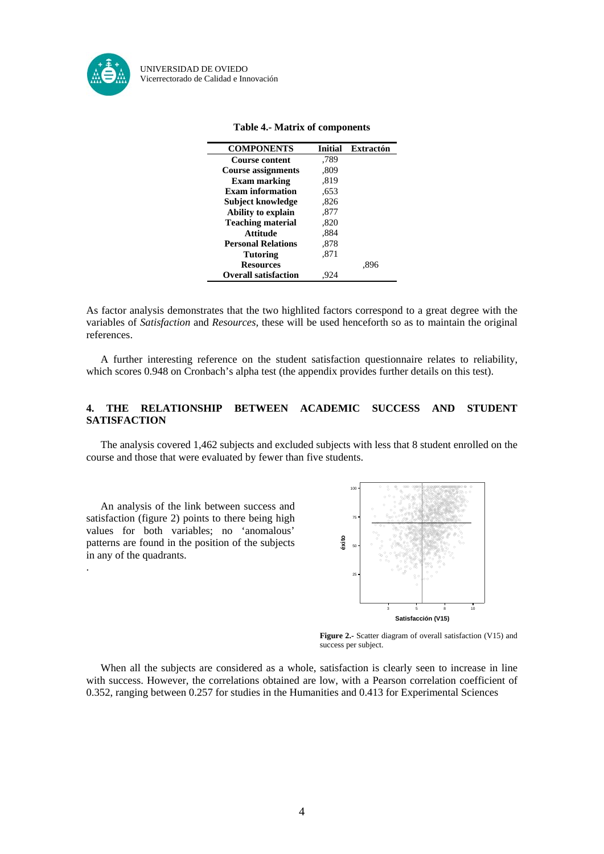

| <b>COMPONENTS</b>           | <b>Initial</b> | <b>Extractón</b> |
|-----------------------------|----------------|------------------|
| <b>Course content</b>       | .789           |                  |
| <b>Course assignments</b>   | .809           |                  |
| <b>Exam marking</b>         | .819           |                  |
| <b>Exam information</b>     | .653           |                  |
| Subject knowledge           | .826           |                  |
| Ability to explain          | .877           |                  |
| <b>Teaching material</b>    | .820           |                  |
| Attitude                    | .884           |                  |
| <b>Personal Relations</b>   | .878           |                  |
| <b>Tutoring</b>             | .871           |                  |
| <b>Resources</b>            |                | .896             |
| <b>Overall satisfaction</b> |                |                  |

#### **Table 4.- Matrix of components**

As factor analysis demonstrates that the two highlited factors correspond to a great degree with the variables of *Satisfaction* and *Resources,* these will be used henceforth so as to maintain the original references.

 A further interesting reference on the student satisfaction questionnaire relates to reliability, which scores 0.948 on Cronbach's alpha test (the appendix provides further details on this test).

## **4. THE RELATIONSHIP BETWEEN ACADEMIC SUCCESS AND STUDENT SATISFACTION**

The analysis covered 1,462 subjects and excluded subjects with less that 8 student enrolled on the course and those that were evaluated by fewer than five students.

 An analysis of the link between success and satisfaction (figure 2) points to there being high values for both variables; no 'anomalous' patterns are found in the position of the subjects in any of the quadrants. .



**Figure 2.-** Scatter diagram of overall satisfaction (V15) and success per subject.

When all the subjects are considered as a whole, satisfaction is clearly seen to increase in line with success. However, the correlations obtained are low, with a Pearson correlation coefficient of 0.352, ranging between 0.257 for studies in the Humanities and 0.413 for Experimental Sciences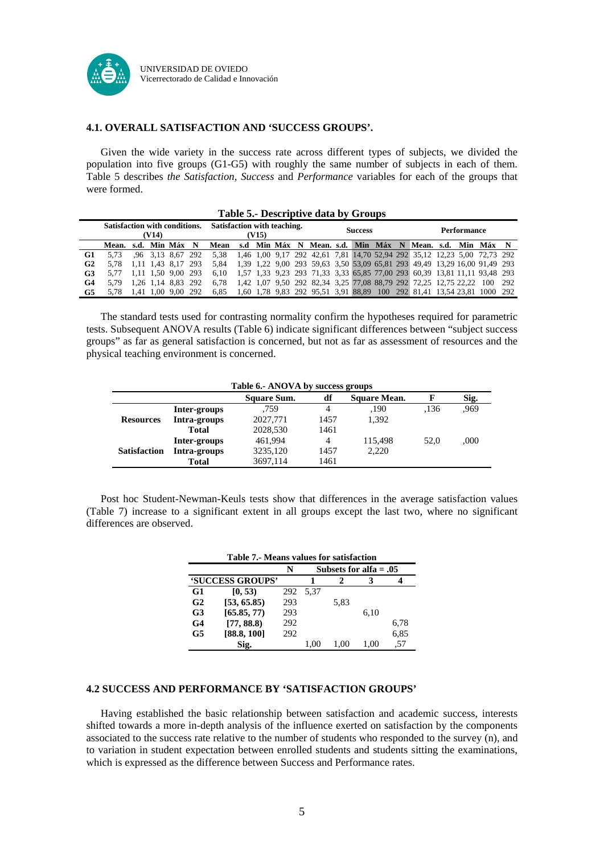

## **4.1. OVERALL SATISFACTION AND 'SUCCESS GROUPS'.**

Given the wide variety in the success rate across different types of subjects, we divided the population into five groups (G1-G5) with roughly the same number of subjects in each of them. Table 5 describes *the Satisfaction, Success* and *Performance* variables for each of the groups that were formed.

|                | Lable 3.- Descriptive data by Groups          |  |  |                    |                                      |                                                             |  |  |  |                |  |  |                    |  |  |                                                                                |  |  |  |
|----------------|-----------------------------------------------|--|--|--------------------|--------------------------------------|-------------------------------------------------------------|--|--|--|----------------|--|--|--------------------|--|--|--------------------------------------------------------------------------------|--|--|--|
|                | <b>Satisfaction with conditions.</b><br>(V14) |  |  |                    | Satisfaction with teaching.<br>(V15) |                                                             |  |  |  | <b>Success</b> |  |  | <b>Performance</b> |  |  |                                                                                |  |  |  |
|                | Mean, s.d. Min Máx N                          |  |  |                    |                                      | Mean s.d Min Máx N Mean s.d. Min Máx N Mean, s.d. Min Máx N |  |  |  |                |  |  |                    |  |  |                                                                                |  |  |  |
| G <sub>1</sub> | 5.73                                          |  |  | .96 3.13 8.67 292  |                                      |                                                             |  |  |  |                |  |  |                    |  |  | 5.38 1.46 1.00 9.17 292 42.61 7.81 14.70 52.94 292 35.12 12.23 5.00 72.73 292  |  |  |  |
| G <sub>2</sub> |                                               |  |  | 1.11 1.43 8.17 293 |                                      | 5.84                                                        |  |  |  |                |  |  |                    |  |  | 1,39 1,22 9,00 293 59,63 3,50 53,09 65,81 293 49,49 13,29 16,00 91,49 293      |  |  |  |
| G <sub>3</sub> | 5.77                                          |  |  | 1.11 1.50 9.00 293 |                                      |                                                             |  |  |  |                |  |  |                    |  |  | 6.10 1.57 1.33 9.23 293 71.33 3.33 65.85 77.00 293 60.39 13.81 11.11 93.48 293 |  |  |  |
| G <sub>4</sub> | 5.79                                          |  |  | 1.26 1.14 8.83 292 |                                      | 6.78                                                        |  |  |  |                |  |  |                    |  |  | 1,42 1,07 9,50 292 82,34 3,25 77,08 88,79 292 72,25 12,75 22,22 100 292        |  |  |  |
| G5             | 5,78 1,41 1,00 9,00 292                       |  |  |                    |                                      |                                                             |  |  |  |                |  |  |                    |  |  | 6.85 1.60 1.78 9.83 292 95.51 3.91 88.89 100 292 81.41 13.54 23.81 1000 292    |  |  |  |

## **Table 5.- Descriptive data by Groups**

 The standard tests used for contrasting normality confirm the hypotheses required for parametric tests. Subsequent ANOVA results (Table 6) indicate significant differences between "subject success groups" as far as general satisfaction is concerned, but not as far as assessment of resources and the physical teaching environment is concerned.

| Table 6.- ANOVA by success groups |              |             |                |              |      |      |  |  |  |  |  |
|-----------------------------------|--------------|-------------|----------------|--------------|------|------|--|--|--|--|--|
|                                   |              | Square Sum. | df             | Square Mean. |      | Sig. |  |  |  |  |  |
|                                   | Inter-groups | .759        | 4              | ,190         | .136 | .969 |  |  |  |  |  |
| <b>Resources</b>                  | Intra-groups | 2027,771    | 1457           | 1.392        |      |      |  |  |  |  |  |
|                                   | <b>Total</b> | 2028,530    | 1461           |              |      |      |  |  |  |  |  |
|                                   | Inter-groups | 461,994     | $\overline{4}$ | 115,498      | 52.0 | ,000 |  |  |  |  |  |
| <b>Satisfaction</b>               | Intra-groups | 3235,120    | 1457           | 2,220        |      |      |  |  |  |  |  |
|                                   | <b>Total</b> | 3697,114    | 1461           |              |      |      |  |  |  |  |  |

 Post hoc Student-Newman-Keuls tests show that differences in the average satisfaction values (Table 7) increase to a significant extent in all groups except the last two, where no significant differences are observed.

|                | Table 7.- Means values for satisfaction |     |                          |      |      |      |  |  |  |  |  |  |
|----------------|-----------------------------------------|-----|--------------------------|------|------|------|--|--|--|--|--|--|
|                |                                         | N   | Subsets for alfa $= .05$ |      |      |      |  |  |  |  |  |  |
|                | 'SUCCESS GROUPS'                        |     |                          |      | 3    |      |  |  |  |  |  |  |
| G <sub>1</sub> | [0, 53)                                 | 292 | 5.37                     |      |      |      |  |  |  |  |  |  |
| G <sub>2</sub> | [53, 65.85]                             | 293 |                          | 5,83 |      |      |  |  |  |  |  |  |
| G <sub>3</sub> | [65.85, 77]                             | 293 |                          |      | 6.10 |      |  |  |  |  |  |  |
| G <sub>4</sub> | [77, 88.8]                              | 292 |                          |      |      | 6,78 |  |  |  |  |  |  |
| G5             | [88.8, 100]                             | 292 |                          |      |      | 6,85 |  |  |  |  |  |  |
|                | Sig.                                    |     | 1.00                     | 1.00 | (0() | .57  |  |  |  |  |  |  |

#### **4.2 SUCCESS AND PERFORMANCE BY 'SATISFACTION GROUPS'**

Having established the basic relationship between satisfaction and academic success, interests shifted towards a more in-depth analysis of the influence exerted on satisfaction by the components associated to the success rate relative to the number of students who responded to the survey (n), and to variation in student expectation between enrolled students and students sitting the examinations, which is expressed as the difference between Success and Performance rates.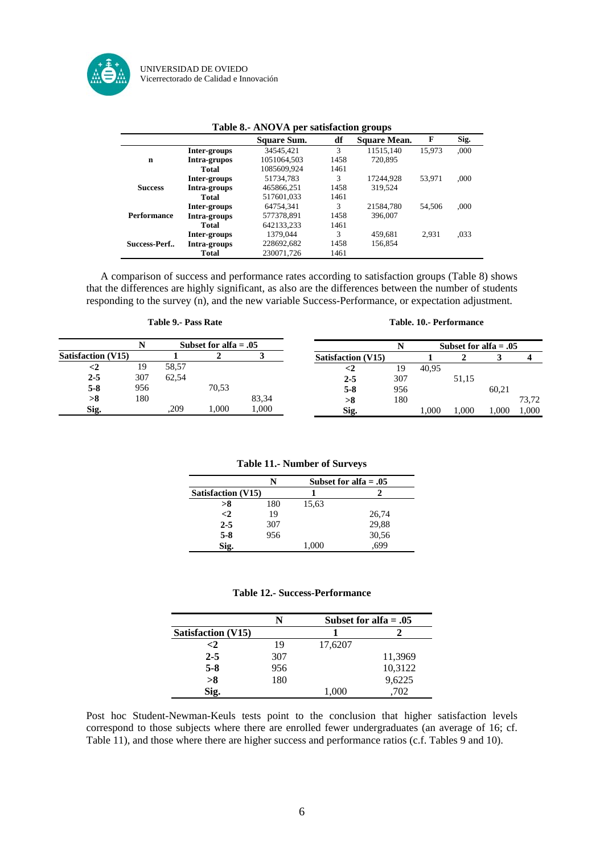

|                    |              | Table 8.- ANOVA per satisfaction groups |      |                     |        |      |
|--------------------|--------------|-----------------------------------------|------|---------------------|--------|------|
|                    |              | Square Sum.                             | df   | <b>Square Mean.</b> | F      | Sig. |
|                    | Inter-groups | 34545.421                               | 3    | 11515.140           | 15.973 | .000 |
| n                  | Intra-grupos | 1051064.503                             | 1458 | 720,895             |        |      |
|                    | Total        | 1085609.924                             | 1461 |                     |        |      |
|                    | Inter-groups | 51734.783                               | 3    | 17244.928           | 53.971 | .000 |
| <b>Success</b>     | Intra-groups | 465866.251                              | 1458 | 319.524             |        |      |
|                    | Total        | 517601.033                              | 1461 |                     |        |      |
|                    | Inter-groups | 64754.341                               | 3    | 21584.780           | 54.506 | .000 |
| <b>Performance</b> | Intra-groups | 577378,891                              | 1458 | 396,007             |        |      |
|                    | Total        | 642133,233                              | 1461 |                     |        |      |
|                    | Inter-groups | 1379.044                                | 3    | 459.681             | 2.931  | ,033 |
| Success-Perf       | Intra-groups | 228692,682                              | 1458 | 156,854             |        |      |
|                    | <b>Total</b> | 230071,726                              | 1461 |                     |        |      |

#### **Table 8.- ANOVA per satisfaction groups**

 A comparison of success and performance rates according to satisfaction groups (Table 8) shows that the differences are highly significant, as also are the differences between the number of students responding to the survey (n), and the new variable Success-Performance, or expectation adjustment.

#### **Table 9.- Pass Rate** Table. 10.- Performance

|                           | Subset for alfa $= .05$ |       |       |       |                           |     | Subset for alfa $= .05$ |       |       |       |
|---------------------------|-------------------------|-------|-------|-------|---------------------------|-----|-------------------------|-------|-------|-------|
| <b>Satisfaction (V15)</b> |                         |       |       |       | <b>Satisfaction</b> (V15) |     |                         |       |       |       |
|                           | 19                      | 58.57 |       |       | <2                        | 19  | 40.95                   |       |       |       |
| $2 - 5$                   | 307                     | 62.54 |       |       | $2 - 5$                   | 307 |                         | 51,15 |       |       |
| $5-8$                     | 956                     |       | 70,53 |       | $5 - 8$                   | 956 |                         |       | 60.21 |       |
| >8                        | 180                     |       |       | 83,34 | >8                        | 180 |                         |       |       | 73,72 |
| Sig.                      |                         | .209  | 000.1 | .000  | Sig.                      |     | 1.000                   | 000.1 | .000. | 1.000 |

#### **Table 11.- Number of Surveys**

|                           |     |       | Subset for alfa $= .05$ |
|---------------------------|-----|-------|-------------------------|
| <b>Satisfaction (V15)</b> |     |       |                         |
| >8                        | 180 | 15,63 |                         |
| $\leq$ 2                  | 19  |       | 26,74                   |
| $2 - 5$                   | 307 |       | 29,88                   |
| $5 - 8$                   | 956 |       | 30,56                   |
| Sig.                      |     | 1,000 | ,699                    |

## **Table 12.- Success-Performance**

|                           | N   |         | Subset for alfa $= .05$ |
|---------------------------|-----|---------|-------------------------|
| <b>Satisfaction (V15)</b> |     |         |                         |
| $\leq$ 2                  | 19  | 17,6207 |                         |
| $2 - 5$                   | 307 |         | 11,3969                 |
| $5-8$                     | 956 |         | 10,3122                 |
| >8                        | 180 |         | 9,6225                  |
|                           |     | 1.000   | 702                     |

Post hoc Student-Newman-Keuls tests point to the conclusion that higher satisfaction levels correspond to those subjects where there are enrolled fewer undergraduates (an average of 16; cf. Table 11), and those where there are higher success and performance ratios (c.f. Tables 9 and 10).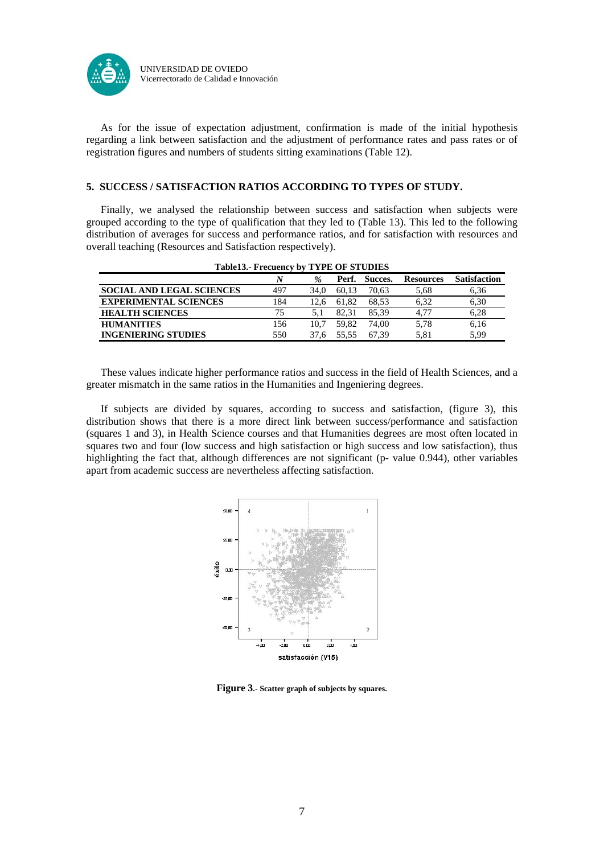

 As for the issue of expectation adjustment, confirmation is made of the initial hypothesis regarding a link between satisfaction and the adjustment of performance rates and pass rates or of registration figures and numbers of students sitting examinations (Table 12).

## **5. SUCCESS / SATISFACTION RATIOS ACCORDING TO TYPES OF STUDY.**

 Finally, we analysed the relationship between success and satisfaction when subjects were grouped according to the type of qualification that they led to (Table 13). This led to the following distribution of averages for success and performance ratios, and for satisfaction with resources and overall teaching (Resources and Satisfaction respectively).

| <b>Table 13.- Frecuency by TYPE OF STUDIES</b> |     |               |       |         |                  |                     |  |  |  |  |  |
|------------------------------------------------|-----|---------------|-------|---------|------------------|---------------------|--|--|--|--|--|
|                                                | N   | $\frac{9}{6}$ | Perf. | Succes. | <b>Resources</b> | <b>Satisfaction</b> |  |  |  |  |  |
| <b>SOCIAL AND LEGAL SCIENCES</b>               | 497 | 34.0          | 60.13 | 70.63   | 5,68             | 6,36                |  |  |  |  |  |
| <b>EXPERIMENTAL SCIENCES</b>                   | 184 | 12.6          | 61.82 | 68.53   | 6.32             | 6,30                |  |  |  |  |  |
| <b>HEALTH SCIENCES</b>                         | 75  | 5.1           | 82.31 | 85.39   | 4.77             | 6,28                |  |  |  |  |  |
| <b>HUMANITIES</b>                              | 156 | 10.7          | 59.82 | 74.00   | 5.78             | 6,16                |  |  |  |  |  |
| <b>INGENIERING STUDIES</b>                     | 550 | 37.6          | 55.55 | 67.39   | 5.81             | 5.99                |  |  |  |  |  |

 These values indicate higher performance ratios and success in the field of Health Sciences, and a greater mismatch in the same ratios in the Humanities and Ingeniering degrees.

 If subjects are divided by squares, according to success and satisfaction, (figure 3), this distribution shows that there is a more direct link between success/performance and satisfaction (squares 1 and 3), in Health Science courses and that Humanities degrees are most often located in squares two and four (low success and high satisfaction or high success and low satisfaction), thus highlighting the fact that, although differences are not significant (p- value 0.944), other variables apart from academic success are nevertheless affecting satisfaction.



**Figure 3.- Scatter graph of subjects by squares.**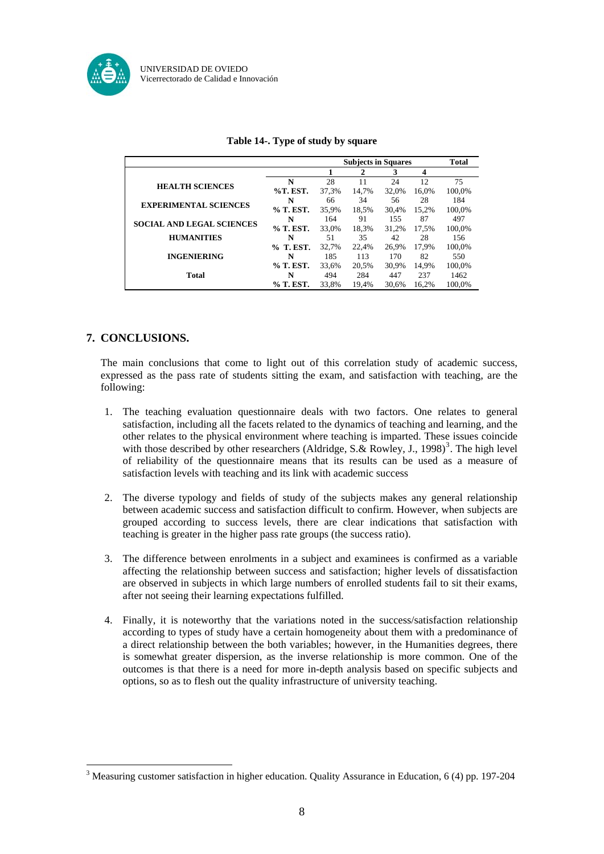

|                                  |           | <b>Subjects in Squares</b> |       |       |                  | Total  |
|----------------------------------|-----------|----------------------------|-------|-------|------------------|--------|
|                                  |           |                            | 2     | 3     | $\boldsymbol{4}$ |        |
| <b>HEALTH SCIENCES</b>           | N         | 28                         | 11    | 24    | 12               | 75     |
|                                  | %T. EST.  | 37.3%                      | 14,7% | 32.0% | 16.0%            | 100,0% |
| <b>EXPERIMENTAL SCIENCES</b>     | N         | 66                         | 34    | 56    | 28               | 184    |
|                                  | % T. EST. | 35.9%                      | 18.5% | 30.4% | 15.2%            | 100.0% |
| <b>SOCIAL AND LEGAL SCIENCES</b> | N         | 164                        | 91    | 155   | 87               | 497    |
|                                  | % T. EST. | 33.0%                      | 18.3% | 31.2% | 17.5%            | 100.0% |
| <b>HUMANITIES</b>                | N         | 51                         | 35    | 42    | 28               | 156    |
|                                  | % T. EST. | 32.7%                      | 22.4% | 26.9% | 17.9%            | 100.0% |
| <b>INGENIERING</b>               | N         | 185                        | 113   | 170   | 82               | 550    |
|                                  | % T. EST. | 33.6%                      | 20,5% | 30.9% | 14.9%            | 100,0% |
| <b>Total</b>                     | N         | 494                        | 284   | 447   | 237              | 1462   |
|                                  | % T. EST. | 33.8%                      | 19.4% | 30.6% | 16.2%            | 100.0% |

## **7. CONCLUSIONS.**

1

The main conclusions that come to light out of this correlation study of academic success, expressed as the pass rate of students sitting the exam, and satisfaction with teaching, are the following:

- 1. The teaching evaluation questionnaire deals with two factors. One relates to general satisfaction, including all the facets related to the dynamics of teaching and learning, and the other relates to the physical environment where teaching is imparted. These issues coincide with those described by other researchers (Aldridge, S. & Rowley, J., 1998)<sup>[3](#page-7-0)</sup>. The high level of reliability of the questionnaire means that its results can be used as a measure of satisfaction levels with teaching and its link with academic success
- 2. The diverse typology and fields of study of the subjects makes any general relationship between academic success and satisfaction difficult to confirm. However, when subjects are grouped according to success levels, there are clear indications that satisfaction with teaching is greater in the higher pass rate groups (the success ratio).
- 3. The difference between enrolments in a subject and examinees is confirmed as a variable affecting the relationship between success and satisfaction; higher levels of dissatisfaction are observed in subjects in which large numbers of enrolled students fail to sit their exams, after not seeing their learning expectations fulfilled.
- 4. Finally, it is noteworthy that the variations noted in the success/satisfaction relationship according to types of study have a certain homogeneity about them with a predominance of a direct relationship between the both variables; however, in the Humanities degrees, there is somewhat greater dispersion, as the inverse relationship is more common. One of the outcomes is that there is a need for more in-depth analysis based on specific subjects and options, so as to flesh out the quality infrastructure of university teaching.

<span id="page-7-0"></span><sup>&</sup>lt;sup>3</sup> Measuring customer satisfaction in higher education. Quality Assurance in Education, 6 (4) pp. 197-204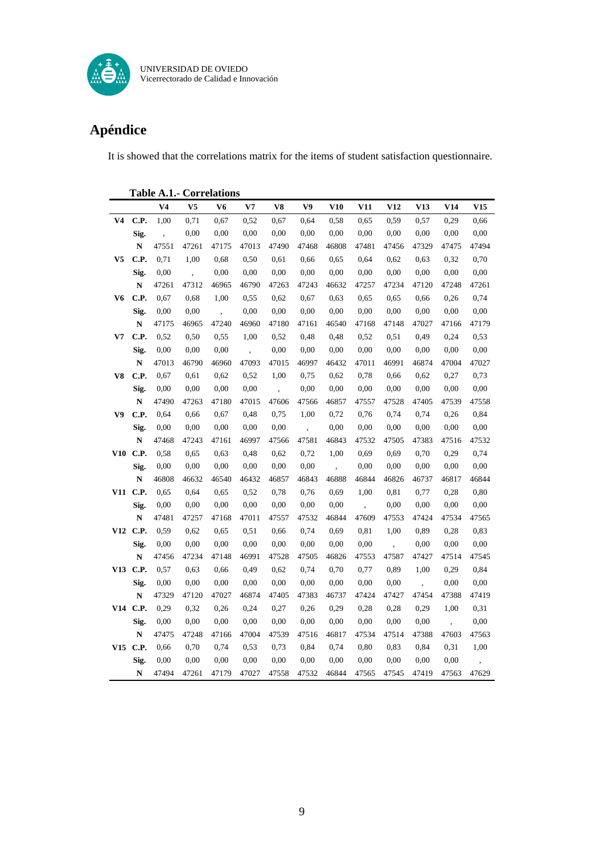

## **Apéndice**

It is showed that the correlations matrix for the items of student satisfaction questionnaire.

|                | <b>Table A.1.- Correlations</b> |                          |                      |                          |       |                          |                          |                  |                          |                          |                          |       |       |
|----------------|---------------------------------|--------------------------|----------------------|--------------------------|-------|--------------------------|--------------------------|------------------|--------------------------|--------------------------|--------------------------|-------|-------|
|                |                                 | V <sub>4</sub>           | V <sub>5</sub>       | V6                       | V7    | V8                       | V9                       | V10              | V11                      | V12                      | V13                      | V14   | V15   |
| V <sub>4</sub> | C.P.                            | 1,00                     | 0,71                 | 0,67                     | 0,52  | 0.67                     | 0.64                     | 0,58             | 0.65                     | 0,59                     | 0.57                     | 0.29  | 0,66  |
|                | Sig.                            | $\overline{\phantom{a}}$ | 0,00                 | 0,00                     | 0,00  | 0.00                     | 0.00                     | 0,00             | 0.00                     | 0,00                     | 0,00                     | 0.00  | 0,00  |
|                | ${\bf N}$                       | 47551                    | 47261                | 47175                    | 47013 | 47490                    | 47468                    | 46808            | 47481                    | 47456                    | 47329                    | 47475 | 47494 |
| V <sub>5</sub> | C.P.                            | 0,71                     | 1,00                 | 0,68                     | 0,50  | 0,61                     | 0,66                     | 0,65             | 0,64                     | 0,62                     | 0,63                     | 0,32  | 0,70  |
|                | Sig.                            | 0,00                     | $\ddot{\phantom{1}}$ | 0.00                     | 0.00  | 0.00                     | 0.00                     | 0,00             | 0,00                     | 0,00                     | 0.00                     | 0.00  | 0,00  |
|                | N                               | 47261                    | 47312                | 46965                    | 46790 | 47263                    | 47243                    | 46632            | 47257                    | 47234                    | 47120                    | 47248 | 47261 |
| V6             | C.P.                            | 0,67                     | 0,68                 | 1,00                     | 0,55  | 0,62                     | 0,67                     | 0,63             | 0,65                     | 0,65                     | 0,66                     | 0,26  | 0,74  |
|                | Sig.                            | 0,00                     | 0,00                 | $\overline{\phantom{a}}$ | 0,00  | 0,00                     | 0,00                     | 0,00             | 0,00                     | 0,00                     | 0,00                     | 0,00  | 0,00  |
|                | N                               | 47175                    | 46965                | 47240                    | 46960 | 47180                    | 47161                    | 46540            | 47168                    | 47148                    | 47027                    | 47166 | 47179 |
| V7             | C.P.                            | 0,52                     | 0,50                 | 0,55                     | 1,00  | 0,52                     | 0,48                     | 0,48             | 0,52                     | 0,51                     | 0,49                     | 0,24  | 0,53  |
|                | Sig.                            | 0,00                     | 0,00                 | 0,00                     |       | 0,00                     | 0,00                     | 0,00             | 0,00                     | 0,00                     | 0,00                     | 0,00  | 0,00  |
|                | $\mathbf N$                     | 47013                    | 46790                | 46960                    | 47093 | 47015                    | 46997                    | 46432            | 47011                    | 46991                    | 46874                    | 47004 | 47027 |
| V8             | C.P.                            | 0,67                     | 0.61                 | 0.62                     | 0,52  | 1,00                     | 0,75                     | 0.62             | 0.78                     | 0,66                     | 0,62                     | 0.27  | 0,73  |
|                | Sig.                            | 0,00                     | 0.00                 | 0,00                     | 0,00  | $\overline{\phantom{a}}$ | 0,00                     | 0,00             | 0,00                     | 0,00                     | 0,00                     | 0.00  | 0,00  |
|                | N                               | 47490                    | 47263                | 47180                    | 47015 | 47606                    | 47566                    | 46857            | 47557                    | 47528                    | 47405                    | 47539 | 47558 |
| V9             | C.P.                            | 0,64                     | 0,66                 | 0,67                     | 0,48  | 0,75                     | 1,00                     | 0,72             | 0,76                     | 0,74                     | 0,74                     | 0,26  | 0,84  |
|                | Sig.                            | 0,00                     | 0,00                 | 0,00                     | 0,00  | 0,00                     | $\overline{\phantom{a}}$ | 0,00             | 0,00                     | 0,00                     | 0,00                     | 0,00  | 0,00  |
|                | $\mathbf N$                     | 47468                    | 47243                | 47161                    | 46997 | 47566                    | 47581                    | 46843            | 47532                    | 47505                    | 47383                    | 47516 | 47532 |
| V10            | C.P.                            | 0,58                     | 0.65                 | 0.63                     | 0,48  | 0.62                     | 0,72                     | 1,00             | 0.69                     | 0.69                     | 0,70                     | 0,29  | 0,74  |
|                | Sig.                            | 0,00                     | 0,00                 | 0,00                     | 0,00  | 0,00                     | 0,00                     | $\overline{ }$ , | 0,00                     | 0,00                     | 0,00                     | 0,00  | 0,00  |
|                | ${\bf N}$                       | 46808                    | 46632                | 46540                    | 46432 | 46857                    | 46843                    | 46888            | 46844                    | 46826                    | 46737                    | 46817 | 46844 |
|                | V11 C.P.                        | 0,65                     | 0,64                 | 0,65                     | 0,52  | 0.78                     | 0,76                     | 0,69             | 1,00                     | 0,81                     | 0,77                     | 0,28  | 0,80  |
|                | Sig.                            | 0,00                     | 0,00                 | 0,00                     | 0,00  | 0,00                     | 0,00                     | 0,00             | $\overline{\phantom{a}}$ | 0,00                     | 0,00                     | 0,00  | 0,00  |
|                | ${\bf N}$                       | 47481                    | 47257                | 47168                    | 47011 | 47557                    | 47532                    | 46844            | 47609                    | 47553                    | 47424                    | 47534 | 47565 |
|                | V12 C.P.                        | 0,59                     | 0,62                 | 0,65                     | 0,51  | 0,66                     | 0,74                     | 0,69             | 0,81                     | 1,00                     | 0,89                     | 0,28  | 0,83  |
|                | Sig.                            | 0,00                     | 0.00                 | 0.00                     | 0.00  | 0.00                     | 0.00                     | 0,00             | 0,00                     | $\overline{\phantom{a}}$ | 0.00                     | 0.00  | 0,00  |
|                | N                               | 47456                    | 47234                | 47148                    | 46991 | 47528                    | 47505                    | 46826            | 47553                    | 47587                    | 47427                    | 47514 | 47545 |
|                | V13 C.P.                        | 0,57                     | 0,63                 | 0,66                     | 0,49  | 0,62                     | 0,74                     | 0,70             | 0,77                     | 0,89                     | 1,00                     | 0,29  | 0,84  |
|                | Sig.                            | 0,00                     | 0,00                 | 0,00                     | 0,00  | 0,00                     | 0,00                     | 0,00             | 0,00                     | 0,00                     | $\overline{\phantom{a}}$ | 0,00  | 0,00  |
|                | $\mathbf N$                     | 47329                    | 47120                | 47027                    | 46874 | 47405                    | 47383                    | 46737            | 47424                    | 47427                    | 47454                    | 47388 | 47419 |
|                | V14 C.P.                        | 0,29                     | 0,32                 | 0,26                     | 0,24  | 0,27                     | 0,26                     | 0,29             | 0,28                     | 0,28                     | 0,29                     | 1,00  | 0,31  |
|                | Sig.                            | 0,00                     | 0,00                 | 0,00                     | 0,00  | 0,00                     | 0,00                     | 0,00             | 0,00                     | 0,00                     | 0,00                     |       | 0,00  |
|                | $\mathbf N$                     | 47475                    | 47248                | 47166                    | 47004 | 47539                    | 47516                    | 46817            | 47534                    | 47514                    | 47388                    | 47603 | 47563 |
| V15            | C.P.                            | 0,66                     | 0,70                 | 0.74                     | 0.53  | 0.73                     | 0,84                     | 0,74             | 0.80                     | 0.83                     | 0,84                     | 0,31  | 1,00  |
|                | Sig.                            | 0,00                     | 0.00                 | 0,00                     | 0.00  | 0,00                     | 0.00                     | 0,00             | 0.00                     | 0,00                     | 0.00                     | 0.00  | ,     |
|                | N                               | 47494                    | 47261                | 47179                    | 47027 | 47558                    | 47532                    | 46844            | 47565                    | 47545                    | 47419                    | 47563 | 47629 |